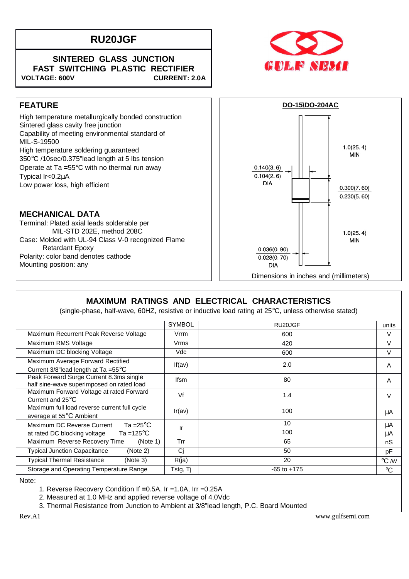# **RU20JGF**

#### **SINTERED GLASS JUNCTION FAST SWITCHING PLASTIC RECTIFIER** VOLTAGE: 600V CURRENT: 2.0A



High temperature metallurgically bonded construction Sintered glass cavity free junction Capability of meeting environmental standard of MIL-S-19500 High temperature soldering guaranteed 350°C /10sec/0.375"lead length at 5 lbs tension Operate at Ta **=**55°C with no thermal run away Typical Ir<0.2µA Low power loss, high efficient

### **MECHANICAL DATA**

Terminal: Plated axial leads solderable per MIL-STD 202E, method 208C Case: Molded with UL-94 Class V-0 recognized Flame Retardant Epoxy Polarity: color band denotes cathode Mounting position: any



## **MAXIMUM RATINGS AND ELECTRICAL CHARACTERISTICS**

(single-phase, half-wave, 60HZ, resistive or inductive load rating at 25°C, unless otherwise stated)

|                                                                                      | <b>SYMBOL</b> |                 |                    |
|--------------------------------------------------------------------------------------|---------------|-----------------|--------------------|
|                                                                                      |               | RU20JGF         | units              |
| Maximum Recurrent Peak Reverse Voltage                                               | Vrrm          | 600             | $\vee$             |
| Maximum RMS Voltage                                                                  | Vrms          | 420             | $\vee$             |
| Maximum DC blocking Voltage                                                          | Vdc           | 600             | $\vee$             |
| Maximum Average Forward Rectified<br>Current 3/8"lead length at Ta = $55^{\circ}$ C  | If( $av$ )    | 2.0             | A                  |
| Peak Forward Surge Current 8.3ms single<br>half sine-wave superimposed on rated load | <b>Ifsm</b>   | 80              | A                  |
| Maximum Forward Voltage at rated Forward<br>Current and $25^{\circ}$ C               | Vf            | 1.4             | V                  |
| Maximum full load reverse current full cycle<br>average at 55°C Ambient              | Ir(av)        | 100             | μA                 |
| Ta =25 $^{\circ}$ C<br>Maximum DC Reverse Current                                    | Ir            | 10              | μA                 |
| Ta =125 $\mathrm{^{\circ}C}$<br>at rated DC blocking voltage                         |               | 100             | μA                 |
| Maximum Reverse Recovery Time<br>(Note 1)                                            | Trr           | 65              | nS                 |
| <b>Typical Junction Capacitance</b><br>(Note 2)                                      | Cj            | 50              | pF                 |
| <b>Typical Thermal Resistance</b><br>(Note 3)                                        | R(ja)         | 20              | $\rm ^{\circ}C$ /W |
| Storage and Operating Temperature Range                                              | Tstg, Tj      | $-65$ to $+175$ | $\rm ^{\circ}C$    |

Note:

1. Reverse Recovery Condition If **=**0.5A, Ir =1.0A, Irr =0.25A

2. Measured at 1.0 MHz and applied reverse voltage of 4.0Vdc

3. Thermal Resistance from Junction to Ambient at 3/8"lead length, P.C. Board Mounted

Rev.A1 www.gulfsemi.com